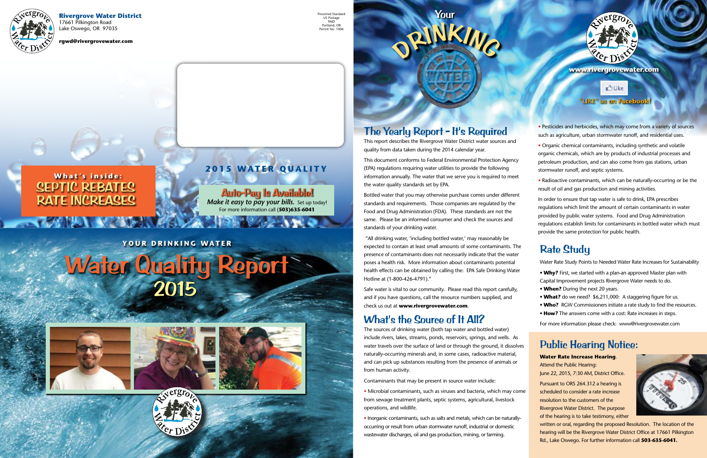#### **Rivergrove Water District**

17661 Pilkington Road Lake Oswego, OR 97035

**rgwd@rivergrovewater.com**



This report describes the Rivergrove Water District water sources and quality from data taken during the 2014 calendar year.

**PINKING** 

This document conforms to Federal Environmental Protection Agency (EPA) regulations requiring water utilities to provide the following information annually. The water that we serve you is required to meet the water quality standards set by EPA.

Bottled water that you may otherwise purchase comes under different standards and requirements. Those companies are regulated by the Food and Drug Administration (FDA). These standards are not the same. Please be an informed consumer and check the sources and standards of your drinking water.

 "All drinking water, 'including bottled water,' may reasonably be expected to contain at least small amounts of some contaminants. The presence of contaminants does not necessarily indicate that the water poses a health risk. More information about contaminants potential health effects can be obtained by calling the: EPA Safe Drinking Water Hotline at (1-800-426-4791)."

Safe water is vital to our community. Please read this report carefully, and if you have questions, call the resource numbers supplied, and check us out at **www.rivergrovewater.com**.

### What's the Source of It All?

The sources of drinking water (both tap water and bottled water) include rivers, lakes, streams, ponds, reservoirs, springs, and wells. As water travels over the surface of land or through the ground, it dissolves naturally-occurring minerals and, in some cases, radioactive material, and can pick up substances resulting from the presence of animals or from human activity.

# Water Quality Report 2015





Contaminants that may be present in source water include:

### SEPTIC REBATES RATE INCREASES **What's inside:**

• Microbial contaminants, such as viruses and bacteria, which may come from sewage treatment plants, septic systems, agricultural, livestock operations, and wildlife.

• Inorganic contaminants, such as salts and metals, which can be naturallyoccurring or result from urban stormwater runoff, industrial or domestic wastewater discharges, oil and gas production, mining, or farming.



• Pesticides and herbicides, which may come from a variety of sources such as agriculture, urban stormwater runoff, and residential uses.

• Organic chemical contaminants, including synthetic and volatile organic chemicals, which are by products of industrial processes and petroleum production, and can also come from gas stations, urban stormwater runoff, and septic systems.

• Radioactive contaminants, which can be naturally-occurring or be the result of oil and gas production and mining activities.

In order to ensure that tap water is safe to drink, EPA prescribes regulations which limit the amount of certain contaminants in water provided by public water systems. Food and Drug Administration regulations establish limits for contaminants in bottled water which must provide the same protection for public health.



#### **"LIKE" us on Facebook!**

**Dike** 

**www.rivergrovewater.com**

#### **YOUR DRINKING WATER**

Your





Auto-Pay Is Available! *Make it easy to pay your bills.* Set up today! For more information call (**503)635-6041**

### Rate Study

Water Rate Study Points to Needed Water Rate Increases for Sustainability

- **Why?** First, we started with a plan-an approved Master plan with Capital Improvement projects Rivergrove Water needs to do.
- **When?** During the next 20 years.
- **What?** do we need? \$6,211,000: A staggering figure for us.
- **Who?** RGW Commissioners initiate a rate study to find the resources.
- **How?** The answers come with a cost: Rate increases in steps.

For more information please check: www@rivergrovewater.com

#### Public Hearing Notice:

#### **Water Rate Increase Hearing**. Attend the Public Hearing: June 22, 2015, 7:30 AM, District Office.

Pursuant to ORS 264.312 a hearing is scheduled to consider a rate increase resolution to the customers of the Rivergrove Water District. The purpose of the hearing is to take testimony, either



written or oral, regarding the proposed Resolution. The location of the hearing will be the Rivergrove Water District Office at 17661 Pilkington Rd., Lake Oswego. For further information call **503-635-6041.**

### **2015 WATER QUALITY**

Presorted Standard US Postage PAID Portland, OR Permit No. 1006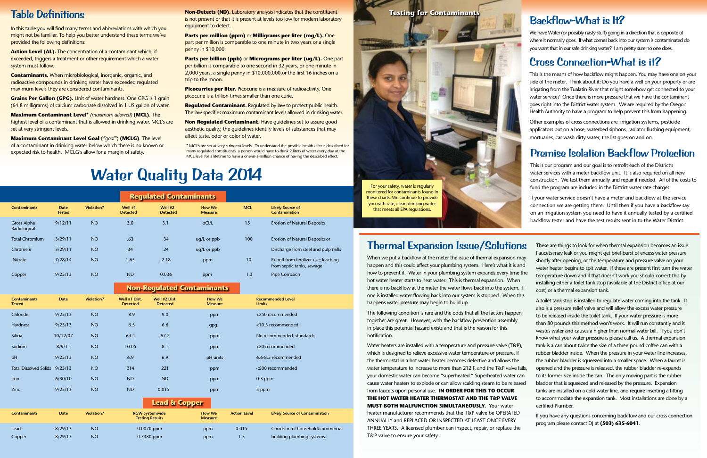### Table Definitions

In this table you will find many terms and abbreviations with which you might not be familiar. To help you better understand these terms we've provided the following definitions:

**Action Level (AL).** The concentration of a contaminant which, if exceeded, triggers a treatment or other requirement which a water system must follow.

**Grains Per Gallon (GPG).** Unit of water hardness. One GPG is 1 grain (64.8 milligrams) of calcium carbonate dissolved in 1 US gallon of water.

**Maximum Contaminant Level\*** *(maximum allowed)* **(MCL)**. The highest level of a contaminant that is allowed in drinking water. MCL's are set at very stringent levels.

**Contaminants.** When microbiological, inorganic, organic, and radioactive compounds in drinking water have exceeded regulated maximum levels they are considered contaminants.

**Non-Detects (ND).** Laboratory analysis indicates that the constituent is not present or that it is present at levels too low for modern laboratory equipment to detect.

**Parts per billion (ppb) or Micrograms per liter (ug/L).** One part per billion is comparable to one second in 32 years, or one minute in 2,000 years, a single penny in \$10,000,000,or the first 16 inches on a trip to the moon.

**Picocurries per liter.** Picocurie is a measure of radioactivity. One picocurie is a trillion times smaller than one curie.

**Maximum Contaminant Level Goal** (*"goal"*) **(MCLG)**. The level of a contaminant in drinking water below which there is no known or expected risk to health. MCLG's allow for a margin of safety.

**Non Regulated Contaminant.** Have guidelines set to assure good aesthetic quality, the guidelines identify levels of substances that may affect taste, odor or color of water.

**Parts per million (ppm)** or **Milligrams per liter (mg/L).** One part per million is comparable to one minute in two years or a single penny in \$10,000.

**Regulated Contaminant.** Regulated by law to protect public health. The law specifies maximum contaminant levels allowed in drinking water.

## Water Quality Data 2014

### Backflow-What is It?

We have Water (or possibly nasty stuff) going in a direction that is opposite of where it normally goes. If what comes back into our system is contaminated do you want that in our safe drinking water? I am pretty sure no one does.

### Cross Connection-What is it?

This is the means of how backflow might happen. You may have one on your side of the meter. Think about it: Do you have a well on your property or are irrigating from the Tualatin River that might somehow get connected to your water service? Once there is more pressure that we have the contaminant goes right into the District water system. We are required by the Oregon Health Authority to have a program to help prevent this from happening.

|                             |                              |                   |                              | <b>Regulated Contaminants</b> |                                 |            |                                                                   |
|-----------------------------|------------------------------|-------------------|------------------------------|-------------------------------|---------------------------------|------------|-------------------------------------------------------------------|
| <b>Contaminants</b>         | <b>Date</b><br><b>Tested</b> | <b>Violation?</b> | Well $#1$<br><b>Detected</b> | Well $#2$<br><b>Detected</b>  | <b>How We</b><br><b>Measure</b> | <b>MCL</b> | <b>Likely Source of</b><br>Contamination                          |
| Gross Alpha<br>Radiological | 9/12/11                      | <b>NO</b>         | 3.0                          | 3.1                           | pCi/L                           | 15         | <b>Erosion of Natural Deposits</b>                                |
| <b>Total Chromium</b>       | 3/29/11                      | <b>NO</b>         | .63                          | .34                           | ug/L or ppb                     | 100        | Erosion of Natural Deposits or                                    |
| Chrome 6                    | 3/29/11                      | <b>NO</b>         | .34                          | .24                           | $uq/L$ or $ppb$                 |            | Discharge from steel and pulp mills                               |
| <b>Nitrate</b>              | 7/28/14                      | <b>NO</b>         | 1.65                         | 2.18                          | ppm                             | 10         | Runoff from fertilizer use; leaching<br>from septic tanks, sewage |
| Copper                      | 9/25/13                      | <b>NO</b>         | <b>ND</b>                    | 0.036                         | ppm                             | 1.3        | <b>Pipe Corrosion</b>                                             |

Other examples of cross connections are irrigation systems, pesticide applicators put on a hose, waterbed siphons, radiator flushing equipment, mortuaries, car wash dirty water, the list goes on and on.

|                                      |             |                   |                                                 | ,,,,,,,,,,,,,,,,,,,,,,,,,        |                                 |                     |                                           |  |
|--------------------------------------|-------------|-------------------|-------------------------------------------------|----------------------------------|---------------------------------|---------------------|-------------------------------------------|--|
| <b>Contaminants</b><br><b>Tested</b> | <b>Date</b> | <b>Violation?</b> | Well #1 Dist.<br><b>Detected</b>                | Well #2 Dist.<br><b>Detected</b> | <b>How We</b><br><b>Measure</b> |                     | <b>Recommended Level</b><br><b>Limits</b> |  |
| Chloride                             | 9/25/13     | <b>NO</b>         | 8.9                                             | 9.0                              | ppm                             |                     | <250 recommended                          |  |
| Hardness                             | 9/25/13     | <b>NO</b>         | 6.5                                             | 6.6                              | gpg                             |                     | <10.5 recommended                         |  |
| Silicia                              | 10/12/07    | <b>NO</b>         | 64.4                                            | 67.2                             | ppm                             |                     | No recommended standards                  |  |
| Sodium                               | 8/9/11      | <b>NO</b>         | 10.05                                           | 8.1                              | ppm                             |                     | <20 recommended                           |  |
| pH                                   | 9/25/13     | <b>NO</b>         | 6.9                                             | 6.9                              | pH units                        |                     | 6.6-8.5 recommended                       |  |
| <b>Total Dissolved Solids</b>        | 9/25/13     | <b>NO</b>         | 214                                             | 221                              | ppm                             | <500 recommended    |                                           |  |
| <b>Iron</b>                          | 6/30/10     | <b>NO</b>         | <b>ND</b>                                       | <b>ND</b>                        | ppm                             | $0.3$ ppm           |                                           |  |
| Zinc                                 | 9/25/13     | <b>NO</b>         | <b>ND</b>                                       | 0.015                            | ppm                             |                     | 5 ppm                                     |  |
|                                      |             |                   |                                                 | <b>Lead &amp; Copper</b>         |                                 |                     |                                           |  |
| <b>Contaminants</b>                  | <b>Date</b> | <b>Violation?</b> | <b>RGW Systemwide</b><br><b>Testing Results</b> |                                  | <b>How We</b><br><b>Measure</b> | <b>Action Level</b> | <b>Likely Source of Contamination</b>     |  |
| Lead                                 | 8/29/13     | <b>NO</b>         | 0.0070 ppm                                      |                                  | ppm                             | 0.015               | Corrosion of household/commercial         |  |
| Copper                               | 8/29/13     | <b>NO</b>         | 0.7380 ppm                                      |                                  | ppm                             | 1.3                 | building plumbing systems.                |  |

#### **Non-Regulated Contaminants**

### Premise Isolation Backflow Protection

This is our program and our goal is to retrofit each of the District's water services with a meter backflow unit. It is also required on all new construction. We test them annually and repair if needed. All of the costs to fund the program are included in the District water rate charges.

If your water service doesn't have a meter and backflow at the service connection we are getting there. Until then if you have a backflow say on an irrigation system you need to have it annually tested by a certified backflow tester and have the test results sent in to the Water District.

### Thermal Expansion Issue/Solutions

When we put a backflow at the meter the issue of thermal expansion may happen and this could affect your plumbing system. Here's what it is and how to prevent it. Water in your plumbing system expands every time the hot water heater starts to heat water. This is thermal expansion. When there is no backflow at the meter the water flows back into the system. If one is installed water flowing back into our system is stopped. When this happens water pressure may begin to build up.

in place this potential hazard exists and that is the reason for this notification.

These are things to look for when thermal expansion becomes an issue. Faucets may leak or you might get brief burst of excess water pressure shortly after opening, or the temperature and pressure valve on your water heater begins to spit water. If these are present first turn the water temperature down and if that doesn't work you should correct this by installing either a toilet tank stop (available at the District office at our cost) or a thermal expansion tank.

The following condition is rare and the odds that all the factors happen together are great. However, with the backflow prevention assembly Water heaters are installed with a temperature and pressure valve (T&P), which is designed to relieve excessive water temperature or pressure. If the thermostat in a hot water heater becomes defective and allows the water temperature to increase to more than 212 F, and the T&P valve fails, your domestic water can become "superheated." Superheated water can cause water heaters to explode or can allow scalding steam to be released from faucets upon personal use. **IN ORDER FOR THIS TO OCCUR THE HOT WATER HEATER THERMOSTAT AND THE T&P VALVE MUST BOTH MALFUNCTION SIMULTANEOUSLY.** Your water heater manufacturer recommends that the T&P valve be OPERATED ANNUALLY and REPLACED OR INSPECTED AT LEAST ONCE EVERY THREE YEARS. A licensed plumber can inspect, repair, or replace the T&P valve to ensure your safety. A toilet tank stop is installed to regulate water coming into the tank. It also is a pressure relief valve and will allow the excess water pressure to be released inside the toilet tank. If your water pressure is more than 80 pounds this method won't work. It will run constantly and it wastes water and causes a higher than normal water bill. If you don't know what your water pressure is please call us. A thermal expansion tank is a can about twice the size of a three-pound coffee can with a rubber bladder inside. When the pressure in your water line increases, the rubber bladder is squeezed into a smaller space. When a faucet is opened and the pressure is released, the rubber bladder re-expands to its former size inside the can. The only moving part is the rubber bladder that is squeezed and released by the pressure. Expansion tanks are installed on a cold water line, and require inserting a fitting to accommodate the expansion tank. Most installations are done by a certified Plumber. If you have any questions concerning backflow and our cross connection program please contact DJ at **(503) 635-6041**.

\* MCL's are set at very stringent levels. To understand the possible health effects described for many regulated constituents, a person would have to drink 2 liters of water every day at the MCL level for a lifetime to have a one-in-a-million chance of having the described effect.

**Testing for Contaminants**

For your safety, water is regularly monitored for contaminants found in these charts. We continue to provide you with safe, clean drinking water

that meets all EPA regulations.